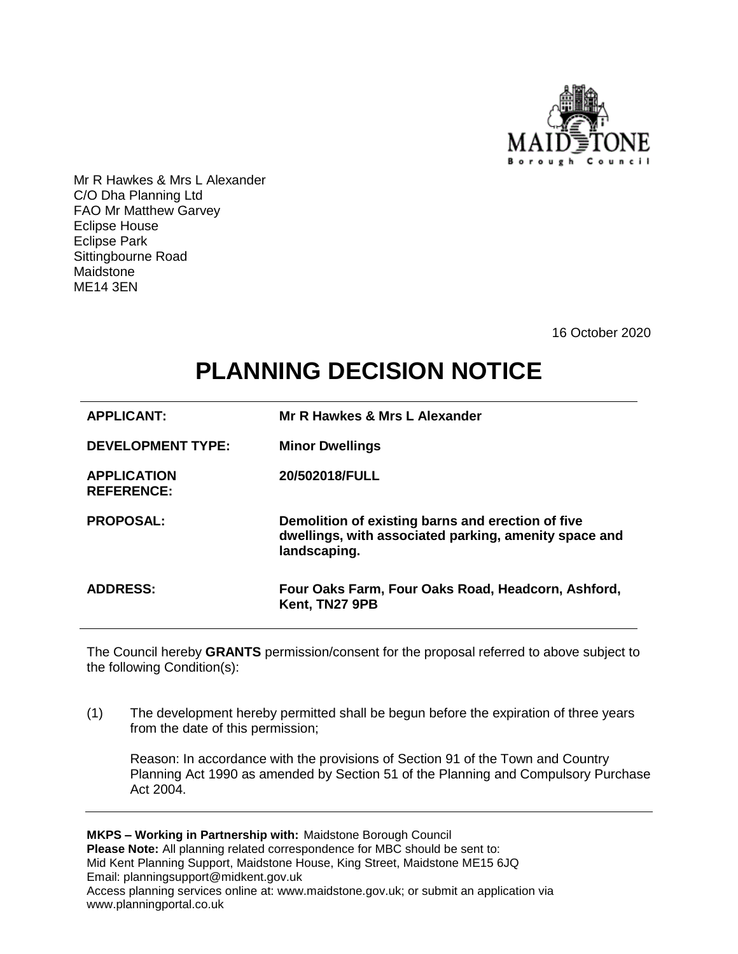

Mr R Hawkes & Mrs L Alexander C/O Dha Planning Ltd FAO Mr Matthew Garvey Eclipse House Eclipse Park Sittingbourne Road Maidstone ME14 3EN

16 October 2020

## **PLANNING DECISION NOTICE**

| <b>APPLICANT:</b>                       | Mr R Hawkes & Mrs L Alexander                                                                                              |
|-----------------------------------------|----------------------------------------------------------------------------------------------------------------------------|
| <b>DEVELOPMENT TYPE:</b>                | <b>Minor Dwellings</b>                                                                                                     |
| <b>APPLICATION</b><br><b>REFERENCE:</b> | 20/502018/FULL                                                                                                             |
| <b>PROPOSAL:</b>                        | Demolition of existing barns and erection of five<br>dwellings, with associated parking, amenity space and<br>landscaping. |
| <b>ADDRESS:</b>                         | Four Oaks Farm, Four Oaks Road, Headcorn, Ashford,<br>Kent, TN27 9PB                                                       |

The Council hereby **GRANTS** permission/consent for the proposal referred to above subject to the following Condition(s):

(1) The development hereby permitted shall be begun before the expiration of three years from the date of this permission;

Reason: In accordance with the provisions of Section 91 of the Town and Country Planning Act 1990 as amended by Section 51 of the Planning and Compulsory Purchase Act 2004.

**MKPS – Working in Partnership with:** Maidstone Borough Council **Please Note:** All planning related correspondence for MBC should be sent to: Mid Kent Planning Support, Maidstone House, King Street, Maidstone ME15 6JQ Email: planningsupport@midkent.gov.uk Access planning services online at: www.maidstone.gov.uk; or submit an application via www.planningportal.co.uk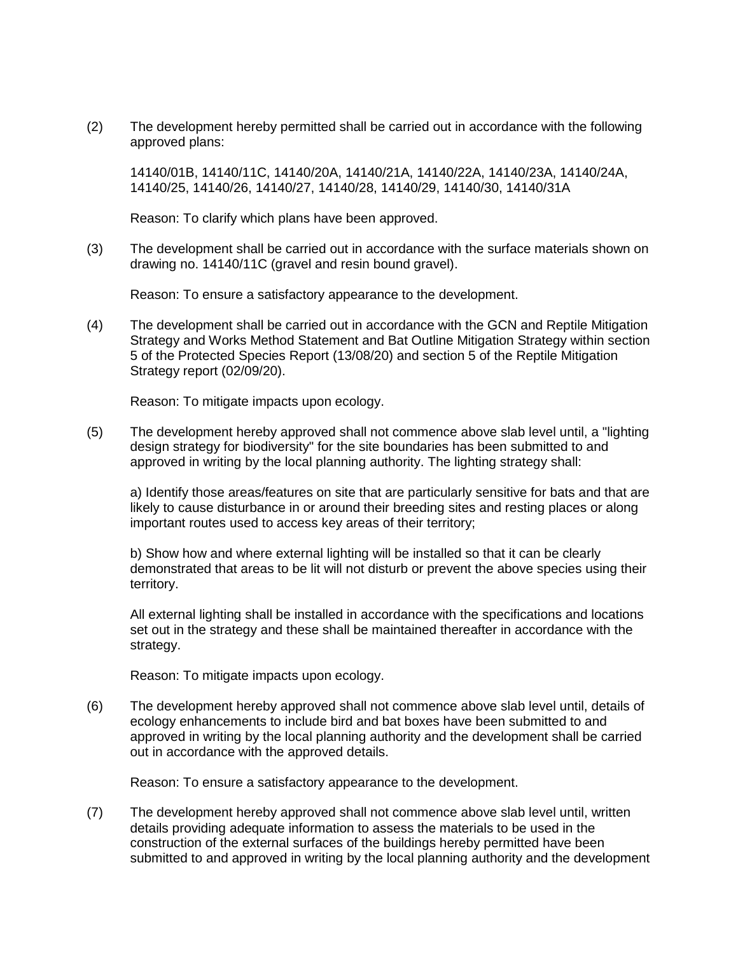(2) The development hereby permitted shall be carried out in accordance with the following approved plans:

14140/01B, 14140/11C, 14140/20A, 14140/21A, 14140/22A, 14140/23A, 14140/24A, 14140/25, 14140/26, 14140/27, 14140/28, 14140/29, 14140/30, 14140/31A

Reason: To clarify which plans have been approved.

(3) The development shall be carried out in accordance with the surface materials shown on drawing no. 14140/11C (gravel and resin bound gravel).

Reason: To ensure a satisfactory appearance to the development.

(4) The development shall be carried out in accordance with the GCN and Reptile Mitigation Strategy and Works Method Statement and Bat Outline Mitigation Strategy within section 5 of the Protected Species Report (13/08/20) and section 5 of the Reptile Mitigation Strategy report (02/09/20).

Reason: To mitigate impacts upon ecology.

(5) The development hereby approved shall not commence above slab level until, a "lighting design strategy for biodiversity" for the site boundaries has been submitted to and approved in writing by the local planning authority. The lighting strategy shall:

a) Identify those areas/features on site that are particularly sensitive for bats and that are likely to cause disturbance in or around their breeding sites and resting places or along important routes used to access key areas of their territory;

b) Show how and where external lighting will be installed so that it can be clearly demonstrated that areas to be lit will not disturb or prevent the above species using their territory.

All external lighting shall be installed in accordance with the specifications and locations set out in the strategy and these shall be maintained thereafter in accordance with the strategy.

Reason: To mitigate impacts upon ecology.

(6) The development hereby approved shall not commence above slab level until, details of ecology enhancements to include bird and bat boxes have been submitted to and approved in writing by the local planning authority and the development shall be carried out in accordance with the approved details.

Reason: To ensure a satisfactory appearance to the development.

(7) The development hereby approved shall not commence above slab level until, written details providing adequate information to assess the materials to be used in the construction of the external surfaces of the buildings hereby permitted have been submitted to and approved in writing by the local planning authority and the development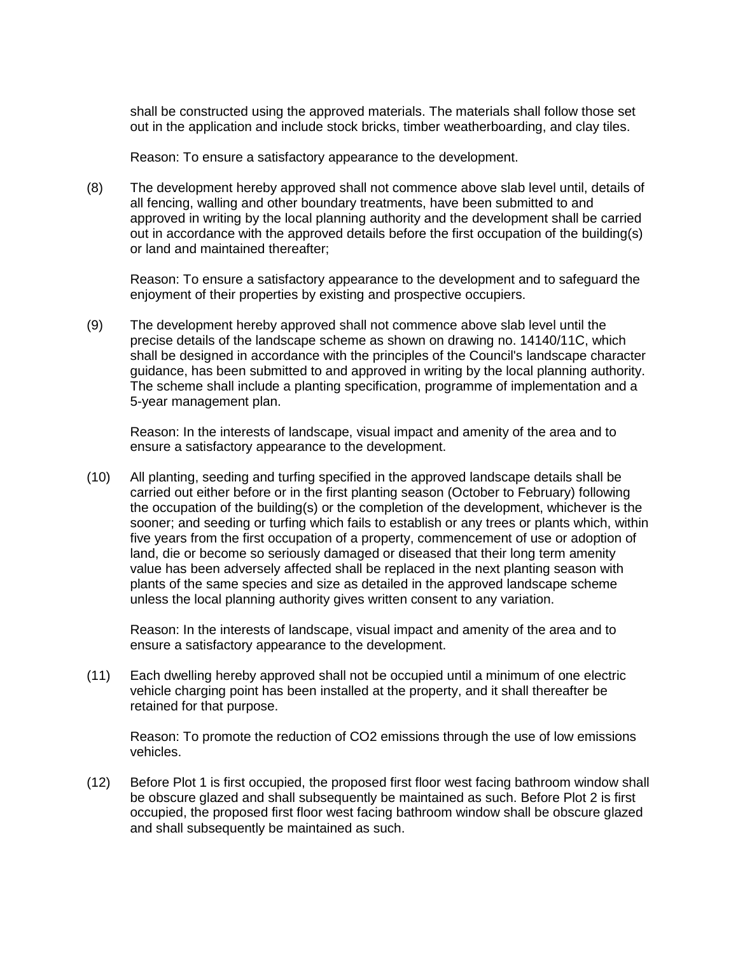shall be constructed using the approved materials. The materials shall follow those set out in the application and include stock bricks, timber weatherboarding, and clay tiles.

Reason: To ensure a satisfactory appearance to the development.

(8) The development hereby approved shall not commence above slab level until, details of all fencing, walling and other boundary treatments, have been submitted to and approved in writing by the local planning authority and the development shall be carried out in accordance with the approved details before the first occupation of the building(s) or land and maintained thereafter;

Reason: To ensure a satisfactory appearance to the development and to safeguard the enjoyment of their properties by existing and prospective occupiers.

(9) The development hereby approved shall not commence above slab level until the precise details of the landscape scheme as shown on drawing no. 14140/11C, which shall be designed in accordance with the principles of the Council's landscape character guidance, has been submitted to and approved in writing by the local planning authority. The scheme shall include a planting specification, programme of implementation and a 5-year management plan.

Reason: In the interests of landscape, visual impact and amenity of the area and to ensure a satisfactory appearance to the development.

(10) All planting, seeding and turfing specified in the approved landscape details shall be carried out either before or in the first planting season (October to February) following the occupation of the building(s) or the completion of the development, whichever is the sooner; and seeding or turfing which fails to establish or any trees or plants which, within five years from the first occupation of a property, commencement of use or adoption of land, die or become so seriously damaged or diseased that their long term amenity value has been adversely affected shall be replaced in the next planting season with plants of the same species and size as detailed in the approved landscape scheme unless the local planning authority gives written consent to any variation.

Reason: In the interests of landscape, visual impact and amenity of the area and to ensure a satisfactory appearance to the development.

(11) Each dwelling hereby approved shall not be occupied until a minimum of one electric vehicle charging point has been installed at the property, and it shall thereafter be retained for that purpose.

Reason: To promote the reduction of CO2 emissions through the use of low emissions vehicles.

(12) Before Plot 1 is first occupied, the proposed first floor west facing bathroom window shall be obscure glazed and shall subsequently be maintained as such. Before Plot 2 is first occupied, the proposed first floor west facing bathroom window shall be obscure glazed and shall subsequently be maintained as such.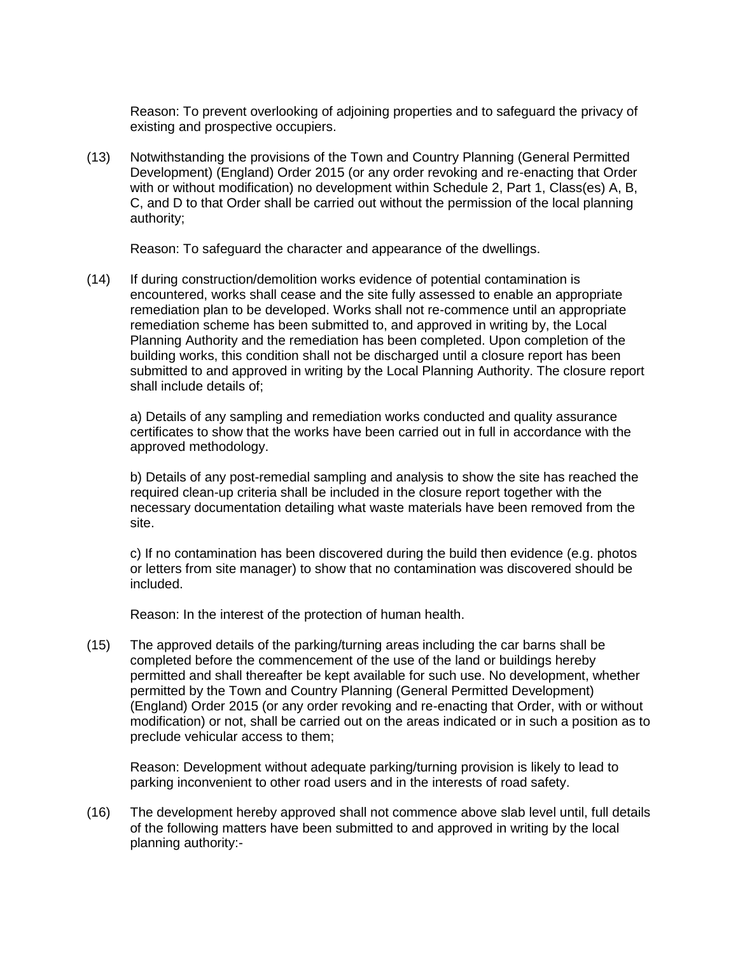Reason: To prevent overlooking of adjoining properties and to safeguard the privacy of existing and prospective occupiers.

(13) Notwithstanding the provisions of the Town and Country Planning (General Permitted Development) (England) Order 2015 (or any order revoking and re-enacting that Order with or without modification) no development within Schedule 2, Part 1, Class(es) A, B, C, and D to that Order shall be carried out without the permission of the local planning authority;

Reason: To safeguard the character and appearance of the dwellings.

(14) If during construction/demolition works evidence of potential contamination is encountered, works shall cease and the site fully assessed to enable an appropriate remediation plan to be developed. Works shall not re-commence until an appropriate remediation scheme has been submitted to, and approved in writing by, the Local Planning Authority and the remediation has been completed. Upon completion of the building works, this condition shall not be discharged until a closure report has been submitted to and approved in writing by the Local Planning Authority. The closure report shall include details of;

a) Details of any sampling and remediation works conducted and quality assurance certificates to show that the works have been carried out in full in accordance with the approved methodology.

b) Details of any post-remedial sampling and analysis to show the site has reached the required clean-up criteria shall be included in the closure report together with the necessary documentation detailing what waste materials have been removed from the site.

c) If no contamination has been discovered during the build then evidence (e.g. photos or letters from site manager) to show that no contamination was discovered should be included.

Reason: In the interest of the protection of human health.

(15) The approved details of the parking/turning areas including the car barns shall be completed before the commencement of the use of the land or buildings hereby permitted and shall thereafter be kept available for such use. No development, whether permitted by the Town and Country Planning (General Permitted Development) (England) Order 2015 (or any order revoking and re-enacting that Order, with or without modification) or not, shall be carried out on the areas indicated or in such a position as to preclude vehicular access to them;

Reason: Development without adequate parking/turning provision is likely to lead to parking inconvenient to other road users and in the interests of road safety.

(16) The development hereby approved shall not commence above slab level until, full details of the following matters have been submitted to and approved in writing by the local planning authority:-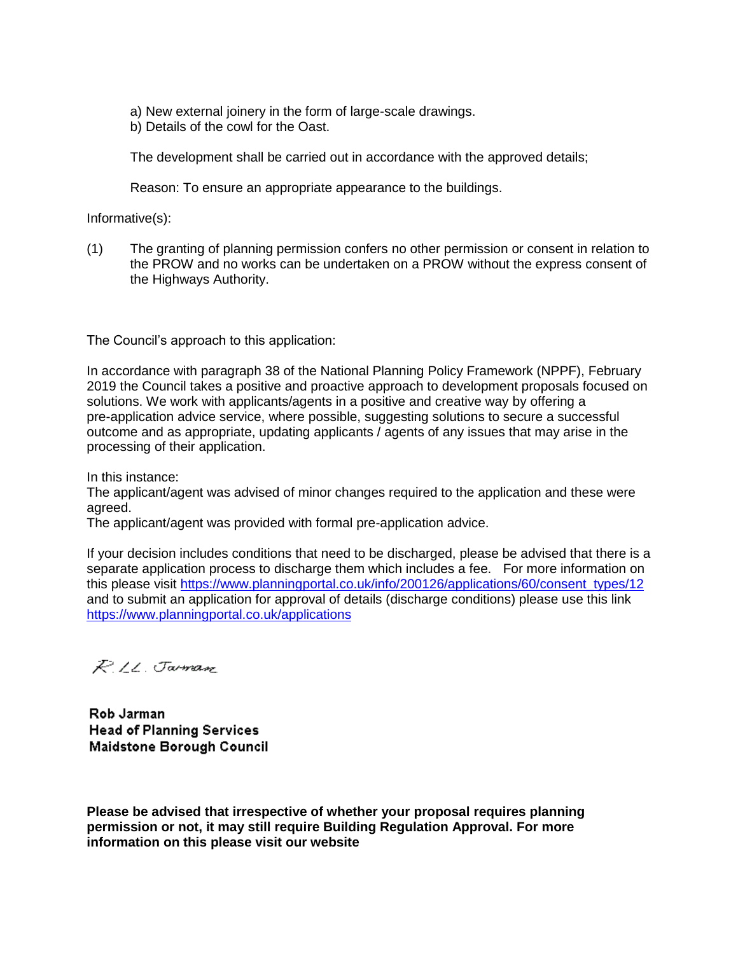a) New external joinery in the form of large-scale drawings.

b) Details of the cowl for the Oast.

The development shall be carried out in accordance with the approved details;

Reason: To ensure an appropriate appearance to the buildings.

Informative(s):

(1) The granting of planning permission confers no other permission or consent in relation to the PROW and no works can be undertaken on a PROW without the express consent of the Highways Authority.

The Council's approach to this application:

In accordance with paragraph 38 of the National Planning Policy Framework (NPPF), February 2019 the Council takes a positive and proactive approach to development proposals focused on solutions. We work with applicants/agents in a positive and creative way by offering a pre-application advice service, where possible, suggesting solutions to secure a successful outcome and as appropriate, updating applicants / agents of any issues that may arise in the processing of their application.

In this instance:

The applicant/agent was advised of minor changes required to the application and these were agreed.

The applicant/agent was provided with formal pre-application advice.

If your decision includes conditions that need to be discharged, please be advised that there is a separate application process to discharge them which includes a fee. For more information on this please visit [https://www.planningportal.co.uk/info/200126/applications/60/consent\\_types/12](https://www.planningportal.co.uk/info/200126/applications/60/consent_types/12) and to submit an application for approval of details (discharge conditions) please use this link <https://www.planningportal.co.uk/applications>

R.IL. Jaman

Rob Jarman **Head of Planning Services Maidstone Borough Council** 

**Please be advised that irrespective of whether your proposal requires planning permission or not, it may still require Building Regulation Approval. For more information on this please visit our website**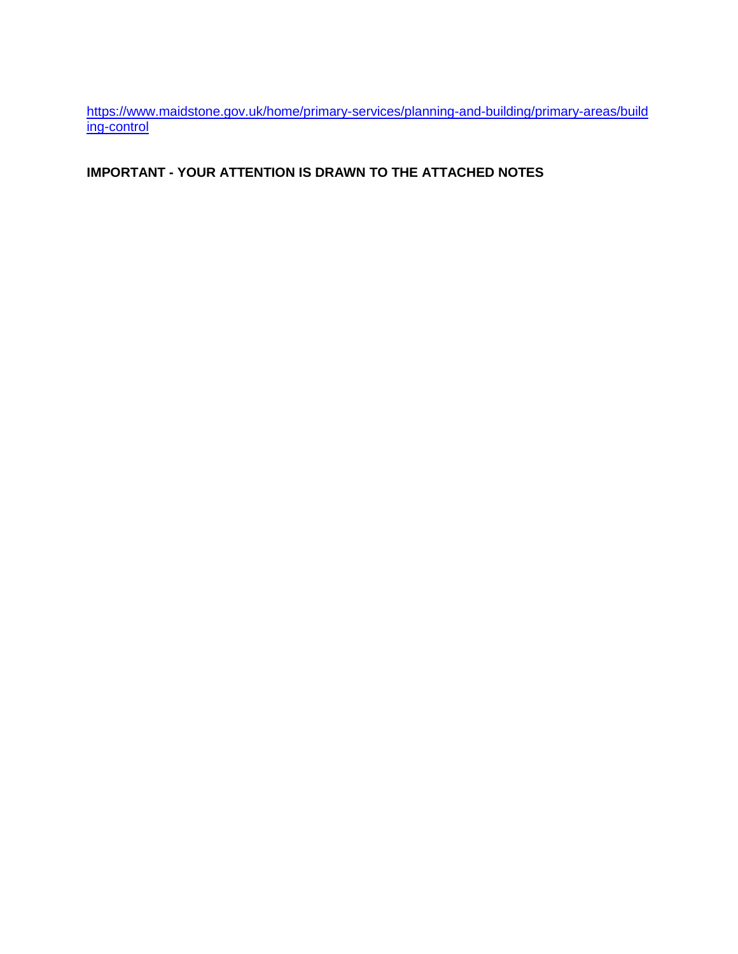[https://www.maidstone.gov.uk/home/primary-services/planning-and-building/primary-areas/build](https://www.maidstone.gov.uk/home/primary-services/planning-and-building/primary-areas/building-control) [ing-control](https://www.maidstone.gov.uk/home/primary-services/planning-and-building/primary-areas/building-control)

## **IMPORTANT - YOUR ATTENTION IS DRAWN TO THE ATTACHED NOTES**